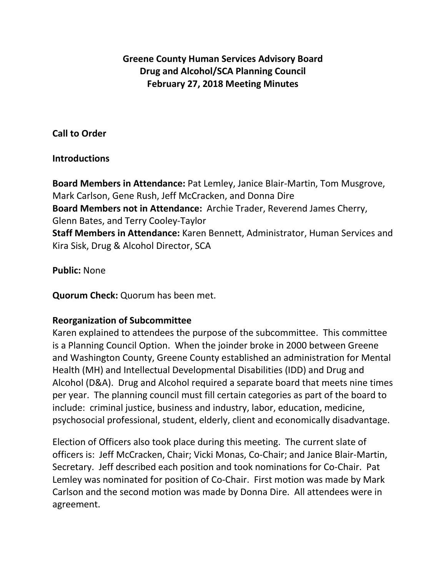# **Greene County Human Services Advisory Board Drug and Alcohol/SCA Planning Council February 27, 2018 Meeting Minutes**

### **Call to Order**

### **Introductions**

**Board Members in Attendance:** Pat Lemley, Janice Blair-Martin, Tom Musgrove, Mark Carlson, Gene Rush, Jeff McCracken, and Donna Dire **Board Members not in Attendance:** Archie Trader, Reverend James Cherry, Glenn Bates, and Terry Cooley-Taylor **Staff Members in Attendance:** Karen Bennett, Administrator, Human Services and Kira Sisk, Drug & Alcohol Director, SCA

**Public:** None

**Quorum Check:** Quorum has been met.

### **Reorganization of Subcommittee**

Karen explained to attendees the purpose of the subcommittee. This committee is a Planning Council Option. When the joinder broke in 2000 between Greene and Washington County, Greene County established an administration for Mental Health (MH) and Intellectual Developmental Disabilities (IDD) and Drug and Alcohol (D&A). Drug and Alcohol required a separate board that meets nine times per year. The planning council must fill certain categories as part of the board to include: criminal justice, business and industry, labor, education, medicine, psychosocial professional, student, elderly, client and economically disadvantage.

Election of Officers also took place during this meeting. The current slate of officers is: Jeff McCracken, Chair; Vicki Monas, Co-Chair; and Janice Blair-Martin, Secretary. Jeff described each position and took nominations for Co-Chair. Pat Lemley was nominated for position of Co-Chair. First motion was made by Mark Carlson and the second motion was made by Donna Dire. All attendees were in agreement.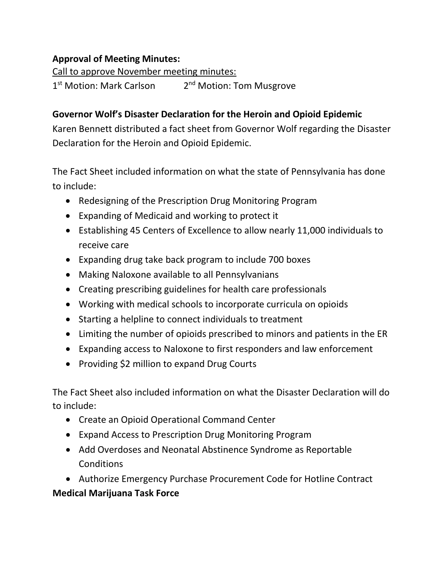# **Approval of Meeting Minutes:**

Call to approve November meeting minutes: 1<sup>st</sup> Motion: Mark Carlson 2<sup>nd</sup> Motion: Tom Musgrove

# **Governor Wolf's Disaster Declaration for the Heroin and Opioid Epidemic**

Karen Bennett distributed a fact sheet from Governor Wolf regarding the Disaster Declaration for the Heroin and Opioid Epidemic.

The Fact Sheet included information on what the state of Pennsylvania has done to include:

- Redesigning of the Prescription Drug Monitoring Program
- Expanding of Medicaid and working to protect it
- Establishing 45 Centers of Excellence to allow nearly 11,000 individuals to receive care
- Expanding drug take back program to include 700 boxes
- Making Naloxone available to all Pennsylvanians
- Creating prescribing guidelines for health care professionals
- Working with medical schools to incorporate curricula on opioids
- Starting a helpline to connect individuals to treatment
- Limiting the number of opioids prescribed to minors and patients in the ER
- Expanding access to Naloxone to first responders and law enforcement
- Providing \$2 million to expand Drug Courts

The Fact Sheet also included information on what the Disaster Declaration will do to include:

- Create an Opioid Operational Command Center
- Expand Access to Prescription Drug Monitoring Program
- Add Overdoses and Neonatal Abstinence Syndrome as Reportable **Conditions**
- Authorize Emergency Purchase Procurement Code for Hotline Contract

# **Medical Marijuana Task Force**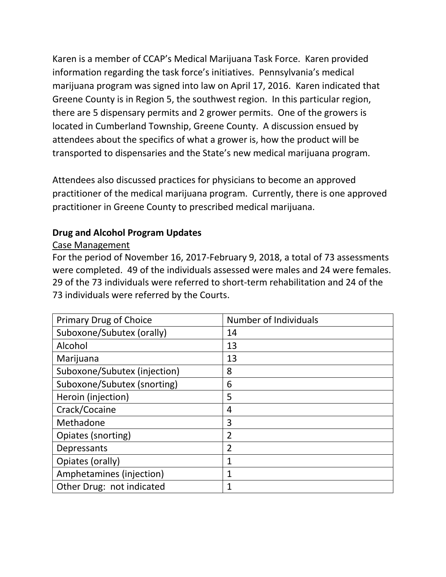Karen is a member of CCAP's Medical Marijuana Task Force. Karen provided information regarding the task force's initiatives. Pennsylvania's medical marijuana program was signed into law on April 17, 2016. Karen indicated that Greene County is in Region 5, the southwest region. In this particular region, there are 5 dispensary permits and 2 grower permits. One of the growers is located in Cumberland Township, Greene County. A discussion ensued by attendees about the specifics of what a grower is, how the product will be transported to dispensaries and the State's new medical marijuana program.

Attendees also discussed practices for physicians to become an approved practitioner of the medical marijuana program. Currently, there is one approved practitioner in Greene County to prescribed medical marijuana.

# **Drug and Alcohol Program Updates**

#### Case Management

For the period of November 16, 2017-February 9, 2018, a total of 73 assessments were completed. 49 of the individuals assessed were males and 24 were females. 29 of the 73 individuals were referred to short-term rehabilitation and 24 of the 73 individuals were referred by the Courts.

| <b>Primary Drug of Choice</b> | <b>Number of Individuals</b> |
|-------------------------------|------------------------------|
| Suboxone/Subutex (orally)     | 14                           |
| Alcohol                       | 13                           |
| Marijuana                     | 13                           |
| Suboxone/Subutex (injection)  | 8                            |
| Suboxone/Subutex (snorting)   | 6                            |
| Heroin (injection)            | 5                            |
| Crack/Cocaine                 | 4                            |
| Methadone                     | 3                            |
| Opiates (snorting)            | $\overline{2}$               |
| Depressants                   | $\overline{2}$               |
| Opiates (orally)              | 1                            |
| Amphetamines (injection)      | $\mathbf{1}$                 |
| Other Drug: not indicated     |                              |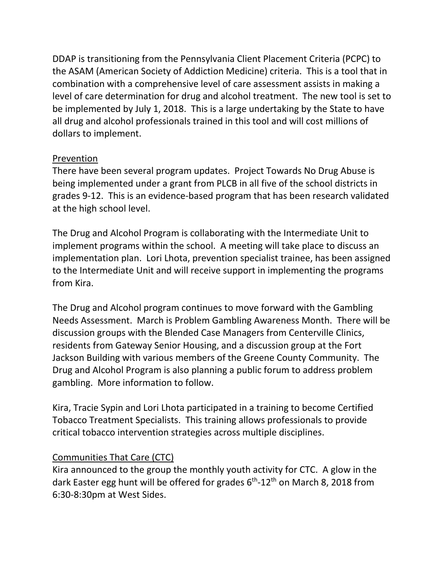DDAP is transitioning from the Pennsylvania Client Placement Criteria (PCPC) to the ASAM (American Society of Addiction Medicine) criteria. This is a tool that in combination with a comprehensive level of care assessment assists in making a level of care determination for drug and alcohol treatment. The new tool is set to be implemented by July 1, 2018. This is a large undertaking by the State to have all drug and alcohol professionals trained in this tool and will cost millions of dollars to implement.

### Prevention

There have been several program updates. Project Towards No Drug Abuse is being implemented under a grant from PLCB in all five of the school districts in grades 9-12. This is an evidence-based program that has been research validated at the high school level.

The Drug and Alcohol Program is collaborating with the Intermediate Unit to implement programs within the school. A meeting will take place to discuss an implementation plan. Lori Lhota, prevention specialist trainee, has been assigned to the Intermediate Unit and will receive support in implementing the programs from Kira.

The Drug and Alcohol program continues to move forward with the Gambling Needs Assessment. March is Problem Gambling Awareness Month. There will be discussion groups with the Blended Case Managers from Centerville Clinics, residents from Gateway Senior Housing, and a discussion group at the Fort Jackson Building with various members of the Greene County Community. The Drug and Alcohol Program is also planning a public forum to address problem gambling. More information to follow.

Kira, Tracie Sypin and Lori Lhota participated in a training to become Certified Tobacco Treatment Specialists. This training allows professionals to provide critical tobacco intervention strategies across multiple disciplines.

### Communities That Care (CTC)

Kira announced to the group the monthly youth activity for CTC. A glow in the dark Easter egg hunt will be offered for grades  $6<sup>th</sup>$ -12<sup>th</sup> on March 8, 2018 from 6:30-8:30pm at West Sides.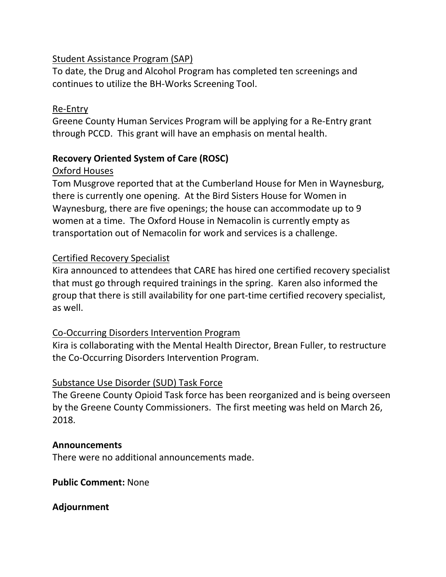## Student Assistance Program (SAP)

To date, the Drug and Alcohol Program has completed ten screenings and continues to utilize the BH-Works Screening Tool.

## Re-Entry

Greene County Human Services Program will be applying for a Re-Entry grant through PCCD. This grant will have an emphasis on mental health.

# **Recovery Oriented System of Care (ROSC)**

# Oxford Houses

Tom Musgrove reported that at the Cumberland House for Men in Waynesburg, there is currently one opening. At the Bird Sisters House for Women in Waynesburg, there are five openings; the house can accommodate up to 9 women at a time. The Oxford House in Nemacolin is currently empty as transportation out of Nemacolin for work and services is a challenge.

# Certified Recovery Specialist

Kira announced to attendees that CARE has hired one certified recovery specialist that must go through required trainings in the spring. Karen also informed the group that there is still availability for one part-time certified recovery specialist, as well.

# Co-Occurring Disorders Intervention Program

Kira is collaborating with the Mental Health Director, Brean Fuller, to restructure the Co-Occurring Disorders Intervention Program.

### Substance Use Disorder (SUD) Task Force

The Greene County Opioid Task force has been reorganized and is being overseen by the Greene County Commissioners. The first meeting was held on March 26, 2018.

### **Announcements**

There were no additional announcements made.

### **Public Comment:** None

### **Adjournment**